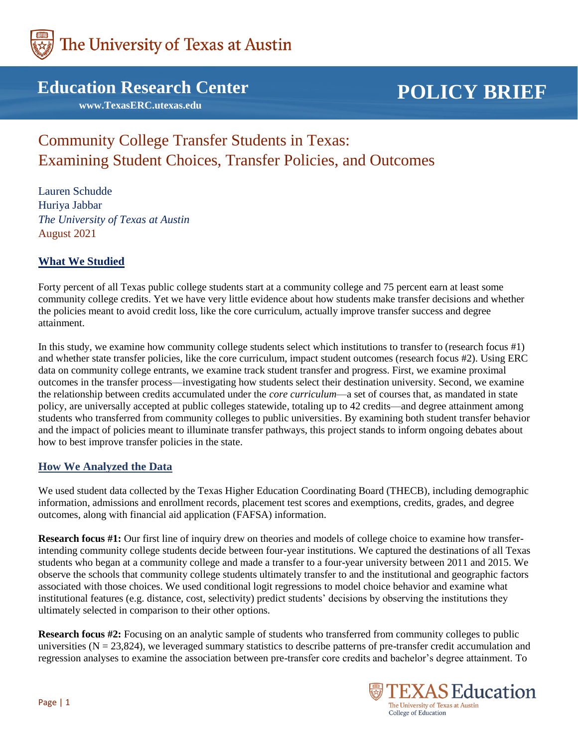

**Education Research Center**

 **www.TexasERC.utexas.edu**

# **POLICY BRIEF**

# Community College Transfer Students in Texas: Examining Student Choices, Transfer Policies, and Outcomes

Lauren Schudde Huriya Jabbar *The University of Texas at Austin* August 2021

# **What We Studied**

Forty percent of all Texas public college students start at a community college and 75 percent earn at least some community college credits. Yet we have very little evidence about how students make transfer decisions and whether the policies meant to avoid credit loss, like the core curriculum, actually improve transfer success and degree attainment.

In this study, we examine how community college students select which institutions to transfer to (research focus #1) and whether state transfer policies, like the core curriculum, impact student outcomes (research focus #2). Using ERC data on community college entrants, we examine track student transfer and progress. First, we examine proximal outcomes in the transfer process—investigating how students select their destination university. Second, we examine the relationship between credits accumulated under the *core curriculum*—a set of courses that, as mandated in state policy, are universally accepted at public colleges statewide, totaling up to 42 credits—and degree attainment among students who transferred from community colleges to public universities. By examining both student transfer behavior and the impact of policies meant to illuminate transfer pathways, this project stands to inform ongoing debates about how to best improve transfer policies in the state.

## **How We Analyzed the Data**

We used student data collected by the Texas Higher Education Coordinating Board (THECB), including demographic information, admissions and enrollment records, placement test scores and exemptions, credits, grades, and degree outcomes, along with financial aid application (FAFSA) information.

**Research focus #1:** Our first line of inquiry drew on theories and models of college choice to examine how transferintending community college students decide between four-year institutions. We captured the destinations of all Texas students who began at a community college and made a transfer to a four-year university between 2011 and 2015. We observe the schools that community college students ultimately transfer to and the institutional and geographic factors associated with those choices. We used conditional logit regressions to model choice behavior and examine what institutional features (e.g. distance, cost, selectivity) predict students' decisions by observing the institutions they ultimately selected in comparison to their other options.

**Research focus #2:** Focusing on an analytic sample of students who transferred from community colleges to public universities  $(N = 23,824)$ , we leveraged summary statistics to describe patterns of pre-transfer credit accumulation and regression analyses to examine the association between pre-transfer core credits and bachelor's degree attainment. To

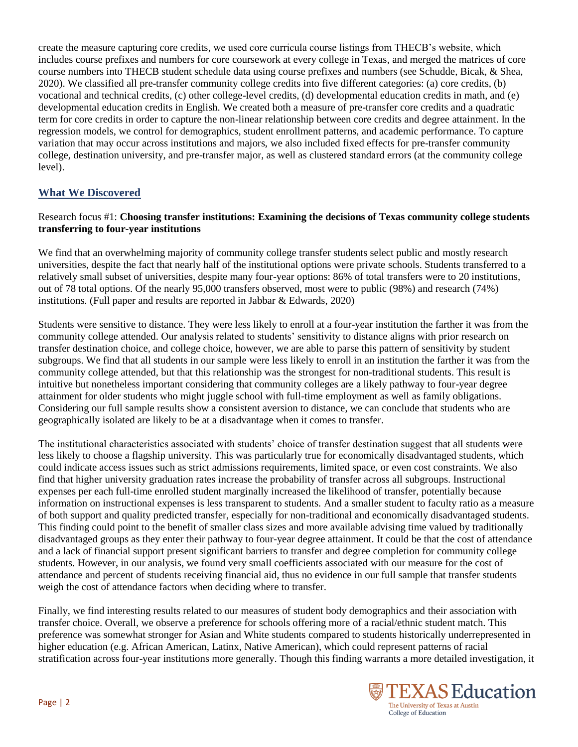create the measure capturing core credits, we used core curricula course listings from THECB's website, which includes course prefixes and numbers for core coursework at every college in Texas, and merged the matrices of core course numbers into THECB student schedule data using course prefixes and numbers (see Schudde, Bicak, & Shea, 2020). We classified all pre-transfer community college credits into five different categories: (a) core credits, (b) vocational and technical credits, (c) other college-level credits, (d) developmental education credits in math, and (e) developmental education credits in English. We created both a measure of pre-transfer core credits and a quadratic term for core credits in order to capture the non-linear relationship between core credits and degree attainment. In the regression models, we control for demographics, student enrollment patterns, and academic performance. To capture variation that may occur across institutions and majors, we also included fixed effects for pre-transfer community college, destination university, and pre-transfer major, as well as clustered standard errors (at the community college level).

## **What We Discovered**

#### Research focus #1: **Choosing transfer institutions: Examining the decisions of Texas community college students transferring to four-year institutions**

We find that an overwhelming majority of community college transfer students select public and mostly research universities, despite the fact that nearly half of the institutional options were private schools. Students transferred to a relatively small subset of universities, despite many four-year options: 86% of total transfers were to 20 institutions, out of 78 total options. Of the nearly 95,000 transfers observed, most were to public (98%) and research (74%) institutions. (Full paper and results are reported in Jabbar & Edwards, 2020)

Students were sensitive to distance. They were less likely to enroll at a four-year institution the farther it was from the community college attended. Our analysis related to students' sensitivity to distance aligns with prior research on transfer destination choice, and college choice, however, we are able to parse this pattern of sensitivity by student subgroups. We find that all students in our sample were less likely to enroll in an institution the farther it was from the community college attended, but that this relationship was the strongest for non-traditional students. This result is intuitive but nonetheless important considering that community colleges are a likely pathway to four-year degree attainment for older students who might juggle school with full-time employment as well as family obligations. Considering our full sample results show a consistent aversion to distance, we can conclude that students who are geographically isolated are likely to be at a disadvantage when it comes to transfer.

The institutional characteristics associated with students' choice of transfer destination suggest that all students were less likely to choose a flagship university. This was particularly true for economically disadvantaged students, which could indicate access issues such as strict admissions requirements, limited space, or even cost constraints. We also find that higher university graduation rates increase the probability of transfer across all subgroups. Instructional expenses per each full-time enrolled student marginally increased the likelihood of transfer, potentially because information on instructional expenses is less transparent to students. And a smaller student to faculty ratio as a measure of both support and quality predicted transfer, especially for non-traditional and economically disadvantaged students. This finding could point to the benefit of smaller class sizes and more available advising time valued by traditionally disadvantaged groups as they enter their pathway to four-year degree attainment. It could be that the cost of attendance and a lack of financial support present significant barriers to transfer and degree completion for community college students. However, in our analysis, we found very small coefficients associated with our measure for the cost of attendance and percent of students receiving financial aid, thus no evidence in our full sample that transfer students weigh the cost of attendance factors when deciding where to transfer.

Finally, we find interesting results related to our measures of student body demographics and their association with transfer choice. Overall, we observe a preference for schools offering more of a racial/ethnic student match. This preference was somewhat stronger for Asian and White students compared to students historically underrepresented in higher education (e.g. African American, Latinx, Native American), which could represent patterns of racial stratification across four-year institutions more generally. Though this finding warrants a more detailed investigation, it

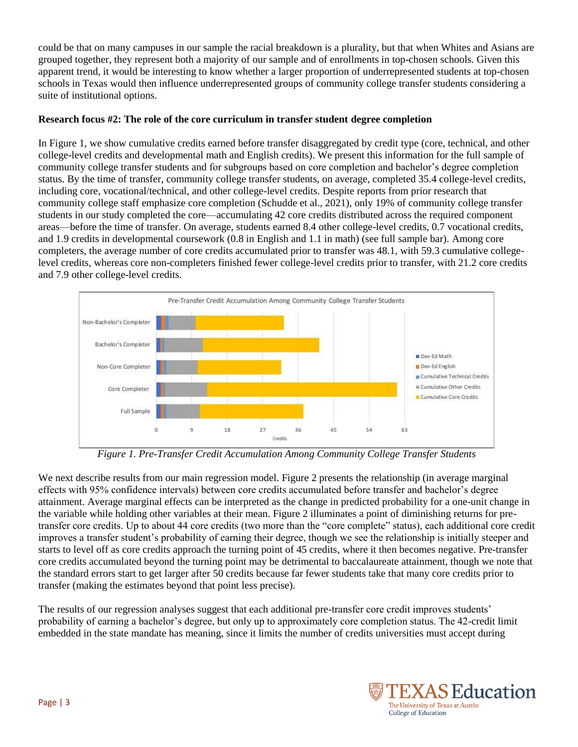could be that on many campuses in our sample the racial breakdown is a plurality, but that when Whites and Asians are grouped together, they represent both a majority of our sample and of enrollments in top-chosen schools. Given this apparent trend, it would be interesting to know whether a larger proportion of underrepresented students at top-chosen schools in Texas would then influence underrepresented groups of community college transfer students considering a suite of institutional options.

#### **Research focus #2: The role of the core curriculum in transfer student degree completion**

In Figure 1, we show cumulative credits earned before transfer disaggregated by credit type (core, technical, and other college-level credits and developmental math and English credits). We present this information for the full sample of community college transfer students and for subgroups based on core completion and bachelor's degree completion status. By the time of transfer, community college transfer students, on average, completed 35.4 college-level credits, including core, vocational/technical, and other college-level credits. Despite reports from prior research that community college staff emphasize core completion (Schudde et al., 2021), only 19% of community college transfer students in our study completed the core—accumulating 42 core credits distributed across the required component areas—before the time of transfer. On average, students earned 8.4 other college-level credits, 0.7 vocational credits, and 1.9 credits in developmental coursework (0.8 in English and 1.1 in math) (see full sample bar). Among core completers, the average number of core credits accumulated prior to transfer was 48.1, with 59.3 cumulative collegelevel credits, whereas core non-completers finished fewer college-level credits prior to transfer, with 21.2 core credits and 7.9 other college-level credits.



*Figure 1. Pre-Transfer Credit Accumulation Among Community College Transfer Students*

We next describe results from our main regression model. Figure 2 presents the relationship (in average marginal effects with 95% confidence intervals) between core credits accumulated before transfer and bachelor's degree attainment. Average marginal effects can be interpreted as the change in predicted probability for a one-unit change in the variable while holding other variables at their mean. Figure 2 illuminates a point of diminishing returns for pretransfer core credits. Up to about 44 core credits (two more than the "core complete" status), each additional core credit improves a transfer student's probability of earning their degree, though we see the relationship is initially steeper and starts to level off as core credits approach the turning point of 45 credits, where it then becomes negative. Pre-transfer core credits accumulated beyond the turning point may be detrimental to baccalaureate attainment, though we note that the standard errors start to get larger after 50 credits because far fewer students take that many core credits prior to transfer (making the estimates beyond that point less precise).

The results of our regression analyses suggest that each additional pre-transfer core credit improves students' probability of earning a bachelor's degree, but only up to approximately core completion status. The 42-credit limit embedded in the state mandate has meaning, since it limits the number of credits universities must accept during

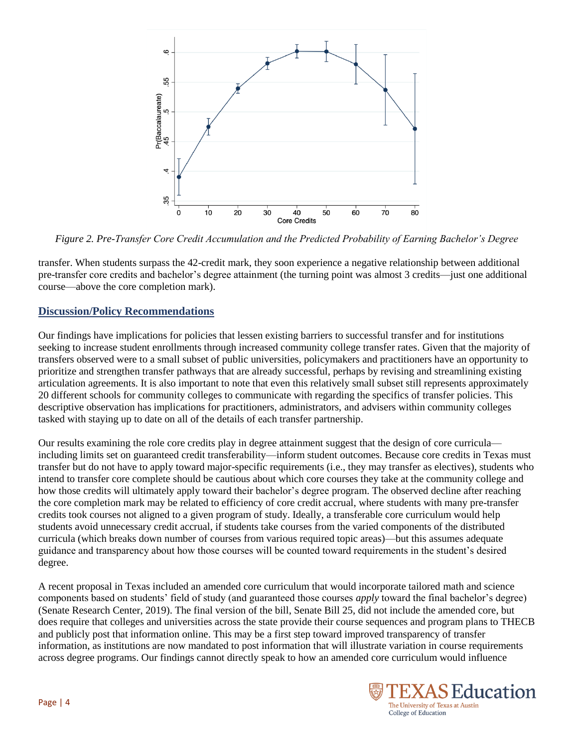

*Figure 2. Pre-Transfer Core Credit Accumulation and the Predicted Probability of Earning Bachelor's Degree*

transfer. When students surpass the 42-credit mark, they soon experience a negative relationship between additional pre-transfer core credits and bachelor's degree attainment (the turning point was almost 3 credits—just one additional course—above the core completion mark).

## **Discussion/Policy Recommendations**

Our findings have implications for policies that lessen existing barriers to successful transfer and for institutions seeking to increase student enrollments through increased community college transfer rates. Given that the majority of transfers observed were to a small subset of public universities, policymakers and practitioners have an opportunity to prioritize and strengthen transfer pathways that are already successful, perhaps by revising and streamlining existing articulation agreements. It is also important to note that even this relatively small subset still represents approximately 20 different schools for community colleges to communicate with regarding the specifics of transfer policies. This descriptive observation has implications for practitioners, administrators, and advisers within community colleges tasked with staying up to date on all of the details of each transfer partnership.

Our results examining the role core credits play in degree attainment suggest that the design of core curricula including limits set on guaranteed credit transferability—inform student outcomes. Because core credits in Texas must transfer but do not have to apply toward major-specific requirements (i.e., they may transfer as electives), students who intend to transfer core complete should be cautious about which core courses they take at the community college and how those credits will ultimately apply toward their bachelor's degree program. The observed decline after reaching the core completion mark may be related to efficiency of core credit accrual, where students with many pre-transfer credits took courses not aligned to a given program of study. Ideally, a transferable core curriculum would help students avoid unnecessary credit accrual, if students take courses from the varied components of the distributed curricula (which breaks down number of courses from various required topic areas)—but this assumes adequate guidance and transparency about how those courses will be counted toward requirements in the student's desired degree.

A recent proposal in Texas included an amended core curriculum that would incorporate tailored math and science components based on students' field of study (and guaranteed those courses *apply* toward the final bachelor's degree) (Senate Research Center, 2019). The final version of the bill, Senate Bill 25, did not include the amended core, but does require that colleges and universities across the state provide their course sequences and program plans to THECB and publicly post that information online. This may be a first step toward improved transparency of transfer information, as institutions are now mandated to post information that will illustrate variation in course requirements across degree programs. Our findings cannot directly speak to how an amended core curriculum would influence